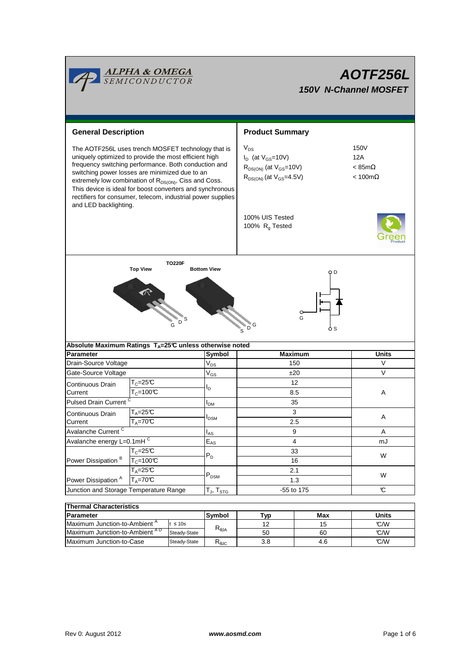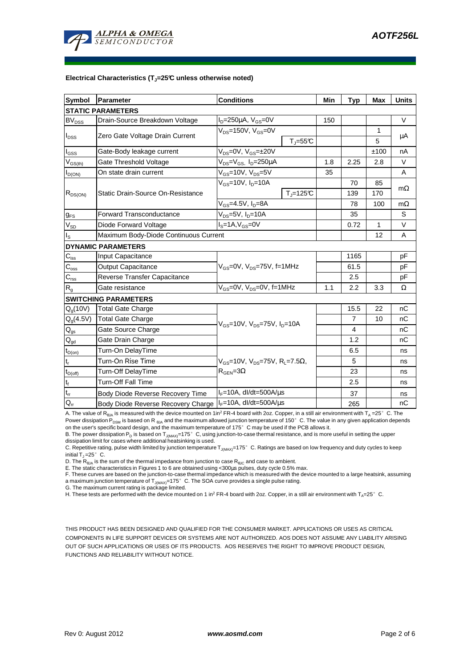

#### **Electrical Characteristics (TJ=25°C unless otherwise noted)**

| <b>Symbol</b>                              | Parameter                             | <b>Conditions</b>                                                                          |                          | Min | <b>Typ</b>     | <b>Max</b> | <b>Units</b> |
|--------------------------------------------|---------------------------------------|--------------------------------------------------------------------------------------------|--------------------------|-----|----------------|------------|--------------|
| <b>STATIC PARAMETERS</b>                   |                                       |                                                                                            |                          |     |                |            |              |
| <b>BV<sub>DSS</sub></b>                    | Drain-Source Breakdown Voltage        | $I_D = 250 \mu A$ , $V_{GS} = 0V$                                                          |                          | 150 |                |            | $\vee$       |
| $I_{DSS}$                                  | Zero Gate Voltage Drain Current       | $V_{DS}$ =150V, $V_{GS}$ =0V                                                               |                          |     |                | 1          | μA           |
|                                            |                                       |                                                                                            | $T_{\rm J}$ =55 $C$      |     |                | 5          |              |
| I <sub>GSS</sub>                           | Gate-Body leakage current             | V <sub>DS</sub> =0V, V <sub>GS</sub> =±20V                                                 |                          |     |                | ±100       | nA           |
| $\mathsf{V}_{\mathsf{GS}(\underline{th})}$ | Gate Threshold Voltage                | $V_{DS} = V_{GS}$ , $I_D = 250 \mu A$                                                      |                          | 1.8 | 2.25           | 2.8        | $\vee$       |
| $I_{D(ON)}$                                | On state drain current                | $V_{GS}$ =10V, $V_{DS}$ =5V                                                                |                          | 35  |                |            | A            |
| $R_{DS(ON)}$                               | Static Drain-Source On-Resistance     | $V_{GS}$ =10V, $I_{D}$ =10A                                                                |                          |     | 70             | 85         | $m\Omega$    |
|                                            |                                       |                                                                                            | $T_{\parallel} = 125$ °C |     | 139            | 170        |              |
|                                            |                                       | $\overline{V_{GS}}$ =4.5V, I <sub>D</sub> =8A                                              |                          |     | 78             | 100        | $m\Omega$    |
| $g_{FS}$                                   | <b>Forward Transconductance</b>       | V <sub>DS</sub> =5V, I <sub>D</sub> =10A                                                   |                          |     | 35             |            | S            |
| $V_{SD}$                                   | Diode Forward Voltage                 | $Is=1A, VGS=0V$                                                                            |                          |     | 0.72           | 1          | V            |
| Is                                         | Maximum Body-Diode Continuous Current |                                                                                            |                          |     |                | 12         | A            |
|                                            | <b>DYNAMIC PARAMETERS</b>             |                                                                                            |                          |     |                |            |              |
| $C_{\text{iss}}$                           | Input Capacitance                     | $V_{GS}$ =0V, $V_{DS}$ =75V, f=1MHz                                                        |                          |     | 1165           |            | pF           |
| $C_{\rm oss}$                              | <b>Output Capacitance</b>             |                                                                                            |                          |     | 61.5           |            | pF           |
| $C_{\rm rss}$                              | Reverse Transfer Capacitance          |                                                                                            |                          |     | 2.5            |            | pF           |
| $R_{q}$                                    | Gate resistance                       | $V_{GS}$ =0V, $V_{DS}$ =0V, f=1MHz                                                         |                          | 1.1 | 2.2            | 3.3        | Ω            |
| <b>SWITCHING PARAMETERS</b>                |                                       |                                                                                            |                          |     |                |            |              |
| $Q_q(10V)$                                 | Total Gate Charge                     | $V_{GS}$ =10V, $V_{DS}$ =75V, $I_{D}$ =10A                                                 |                          |     | 15.5           | 22         | nC           |
| $Q_g(4.5V)$                                | <b>Total Gate Charge</b>              |                                                                                            |                          |     | $\overline{7}$ | 10         | nC           |
| $\mathsf{Q}_{\mathsf{gs}}$                 | Gate Source Charge                    |                                                                                            |                          |     | 4              |            | nC           |
| $\mathbf{Q}_{\text{gd}}$                   | Gate Drain Charge                     |                                                                                            |                          |     | 1.2            |            | nC           |
| $t_{D(on)}$                                | Turn-On DelayTime                     | $V_{GS}$ =10V, $V_{DS}$ =75V, R <sub>L</sub> =7.5 $\Omega$ ,<br>$R_{\text{GEN}} = 3\Omega$ |                          |     | 6.5            |            | ns           |
| $t_r$                                      | Turn-On Rise Time                     |                                                                                            |                          |     | 5              |            | ns           |
| $t_{D(off)}$                               | Turn-Off DelayTime                    |                                                                                            |                          |     | 23             |            | ns           |
| $t_f$                                      | <b>Turn-Off Fall Time</b>             |                                                                                            |                          |     | 2.5            |            | ns           |
| $\mathfrak{t}_{\text{rr}}$                 | Body Diode Reverse Recovery Time      | $I_F = 10A$ , dl/dt=500A/ $\mu$ s                                                          |                          |     | 37             |            | ns           |
| $Q_{rr}$                                   | Body Diode Reverse Recovery Charge    | $I_F$ =10A, dl/dt=500A/us                                                                  |                          |     | 265            |            | nC           |

A. The value of R<sub>BJA</sub> is measured with the device mounted on 1in<sup>2</sup> FR-4 board with 2oz. Copper, in a still air environment with T<sub>A</sub> =25°C. The Power dissipation P<sub>DSM</sub> is based on R <sub>θJA</sub> and the maximum allowed junction temperature of 150°C. The value in any given application depends on the user's specific board design, and the maximum temperature of 175°C may be used if the PCB allows it.

B. The power dissipation P<sub>D</sub> is based on T<sub>J(MAX)</sub>=175°C, using junction-to-case thermal resistance, and is more useful in setting the upper<br>dissipation limit for cases where additional heatsinking is used.

C. Repetitive rating, pulse width limited by junction temperature T<sub>J(MAX)</sub>=175°C. Ratings are based on low frequency and duty cycles to keep initial  $T_1 = 25^\circ$  C.

D. The  $R_{AIA}$  is the sum of the thermal impedance from junction to case  $R_{AIC}$  and case to ambient.

E. The static characteristics in Figures 1 to 6 are obtained using <300µs pulses, duty cycle 0.5% max.

F. These curves are based on the junction-to-case thermal impedance which is measured with the device mounted to a large heatsink, assuming a maximum junction temperature of  $T_{J(MAX)}$ =175° C. The SOA curve provides a single pulse rating.

G. The maximum current rating is package limited.

H. These tests are performed with the device mounted on 1 in<sup>2</sup> FR-4 board with 2oz. Copper, in a still air environment with T<sub>A</sub>=25°C.

THIS PRODUCT HAS BEEN DESIGNED AND QUALIFIED FOR THE CONSUMER MARKET. APPLICATIONS OR USES AS CRITICAL COMPONENTS IN LIFE SUPPORT DEVICES OR SYSTEMS ARE NOT AUTHORIZED. AOS DOES NOT ASSUME ANY LIABILITY ARISING OUT OF SUCH APPLICATIONS OR USES OF ITS PRODUCTS. AOS RESERVES THE RIGHT TO IMPROVE PRODUCT DESIGN, FUNCTIONS AND RELIABILITY WITHOUT NOTICE.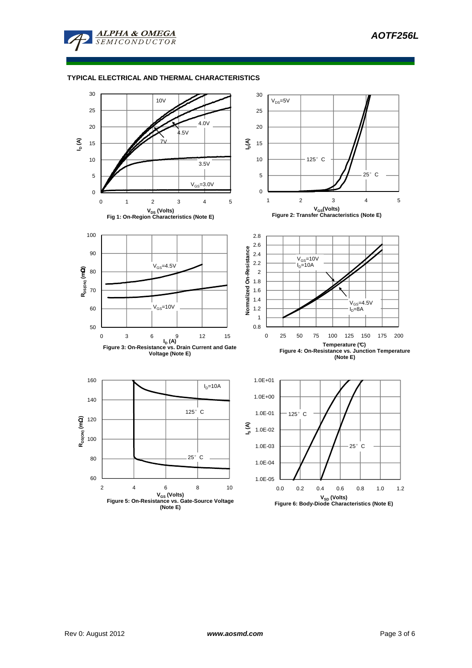

# **TYPICAL ELECTRICAL AND THERMAL CHARACTERISTICS**

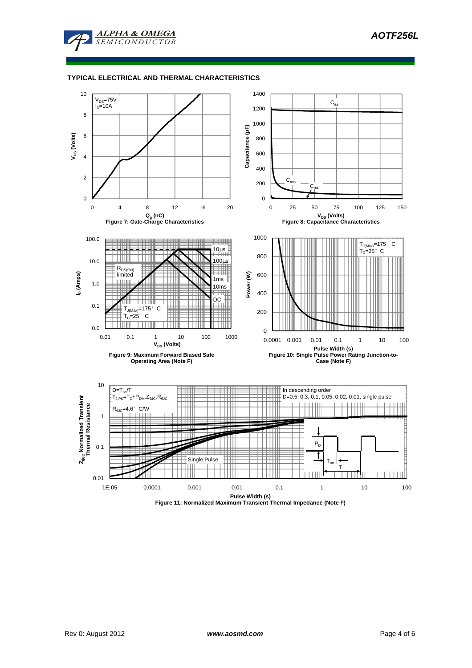

# **TYPICAL ELECTRICAL AND THERMAL CHARACTERISTICS**

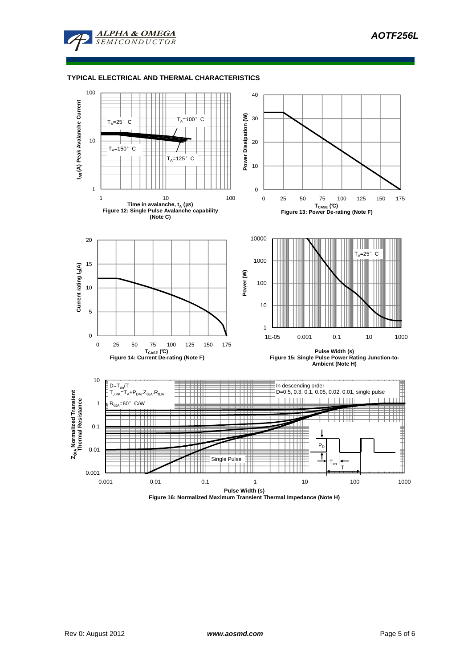

# **TYPICAL ELECTRICAL AND THERMAL CHARACTERISTICS**



**Figure 16: Normalized Maximum Transient Thermal Impedance (Note H)**